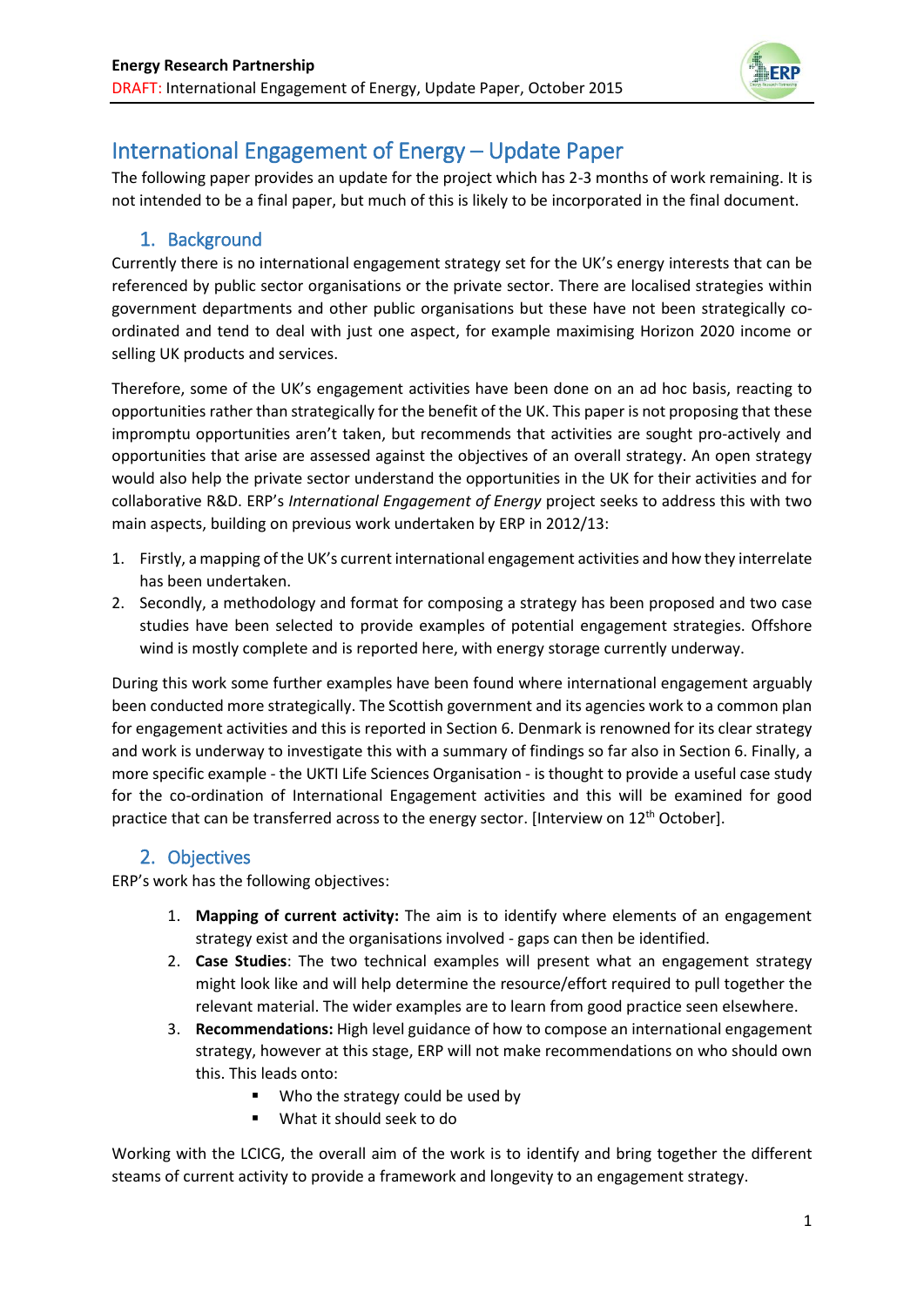

# International Engagement of Energy – Update Paper

The following paper provides an update for the project which has 2-3 months of work remaining. It is not intended to be a final paper, but much of this is likely to be incorporated in the final document.

# 1. Background

Currently there is no international engagement strategy set for the UK's energy interests that can be referenced by public sector organisations or the private sector. There are localised strategies within government departments and other public organisations but these have not been strategically coordinated and tend to deal with just one aspect, for example maximising Horizon 2020 income or selling UK products and services.

Therefore, some of the UK's engagement activities have been done on an ad hoc basis, reacting to opportunities rather than strategically for the benefit of the UK. This paper is not proposing that these impromptu opportunities aren't taken, but recommends that activities are sought pro-actively and opportunities that arise are assessed against the objectives of an overall strategy. An open strategy would also help the private sector understand the opportunities in the UK for their activities and for collaborative R&D. ERP's *International Engagement of Energy* project seeks to address this with two main aspects, building on previous work undertaken by ERP in 2012/13:

- 1. Firstly, a mapping of the UK's current international engagement activities and how they interrelate has been undertaken.
- 2. Secondly, a methodology and format for composing a strategy has been proposed and two case studies have been selected to provide examples of potential engagement strategies. Offshore wind is mostly complete and is reported here, with energy storage currently underway.

During this work some further examples have been found where international engagement arguably been conducted more strategically. The Scottish government and its agencies work to a common plan for engagement activities and this is reported in Section 6. Denmark is renowned for its clear strategy and work is underway to investigate this with a summary of findings so far also in Section 6. Finally, a more specific example - the UKTI Life Sciences Organisation - is thought to provide a useful case study for the co-ordination of International Engagement activities and this will be examined for good practice that can be transferred across to the energy sector. [Interview on 12<sup>th</sup> October].

# 2. Objectives

ERP's work has the following objectives:

- 1. **Mapping of current activity:** The aim is to identify where elements of an engagement strategy exist and the organisations involved - gaps can then be identified.
- 2. **Case Studies**: The two technical examples will present what an engagement strategy might look like and will help determine the resource/effort required to pull together the relevant material. The wider examples are to learn from good practice seen elsewhere.
- 3. **Recommendations:** High level guidance of how to compose an international engagement strategy, however at this stage, ERP will not make recommendations on who should own this. This leads onto:
	- Who the strategy could be used by
	- What it should seek to do

Working with the LCICG, the overall aim of the work is to identify and bring together the different steams of current activity to provide a framework and longevity to an engagement strategy.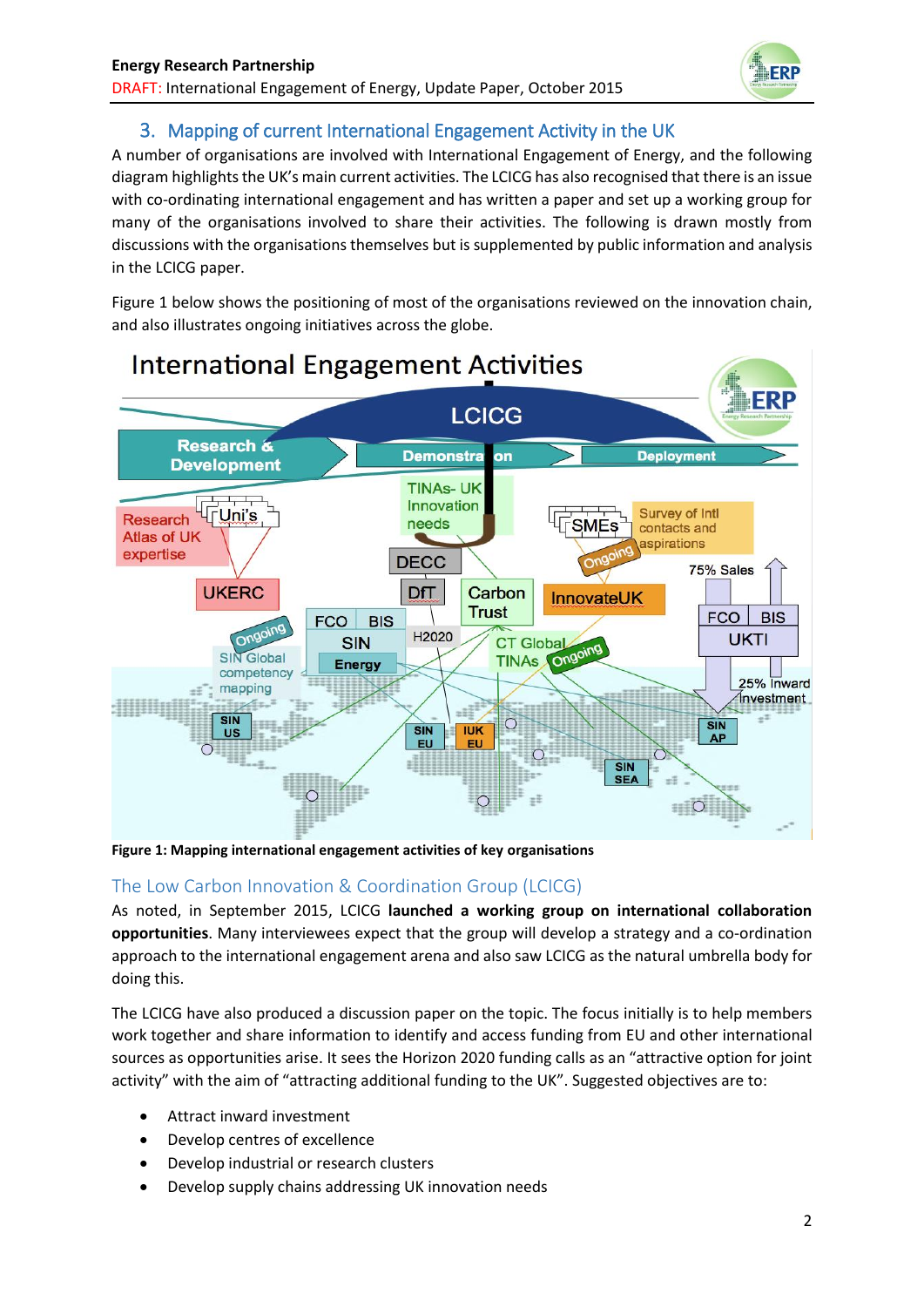

# 3. Mapping of current International Engagement Activity in the UK

A number of organisations are involved with International Engagement of Energy, and the following diagram highlights the UK's main current activities. The LCICG has also recognised that there is an issue with co-ordinating international engagement and has written a paper and set up a working group for many of the organisations involved to share their activities. The following is drawn mostly from discussions with the organisations themselves but is supplemented by public information and analysis in the LCICG paper.

Figure 1 below shows the positioning of most of the organisations reviewed on the innovation chain, and also illustrates ongoing initiatives across the globe.



**Figure 1: Mapping international engagement activities of key organisations**

# The Low Carbon Innovation & Coordination Group (LCICG)

As noted, in September 2015, LCICG **launched a working group on international collaboration opportunities**. Many interviewees expect that the group will develop a strategy and a co-ordination approach to the international engagement arena and also saw LCICG as the natural umbrella body for doing this.

The LCICG have also produced a discussion paper on the topic. The focus initially is to help members work together and share information to identify and access funding from EU and other international sources as opportunities arise. It sees the Horizon 2020 funding calls as an "attractive option for joint activity" with the aim of "attracting additional funding to the UK". Suggested objectives are to:

- Attract inward investment
- Develop centres of excellence
- Develop industrial or research clusters
- Develop supply chains addressing UK innovation needs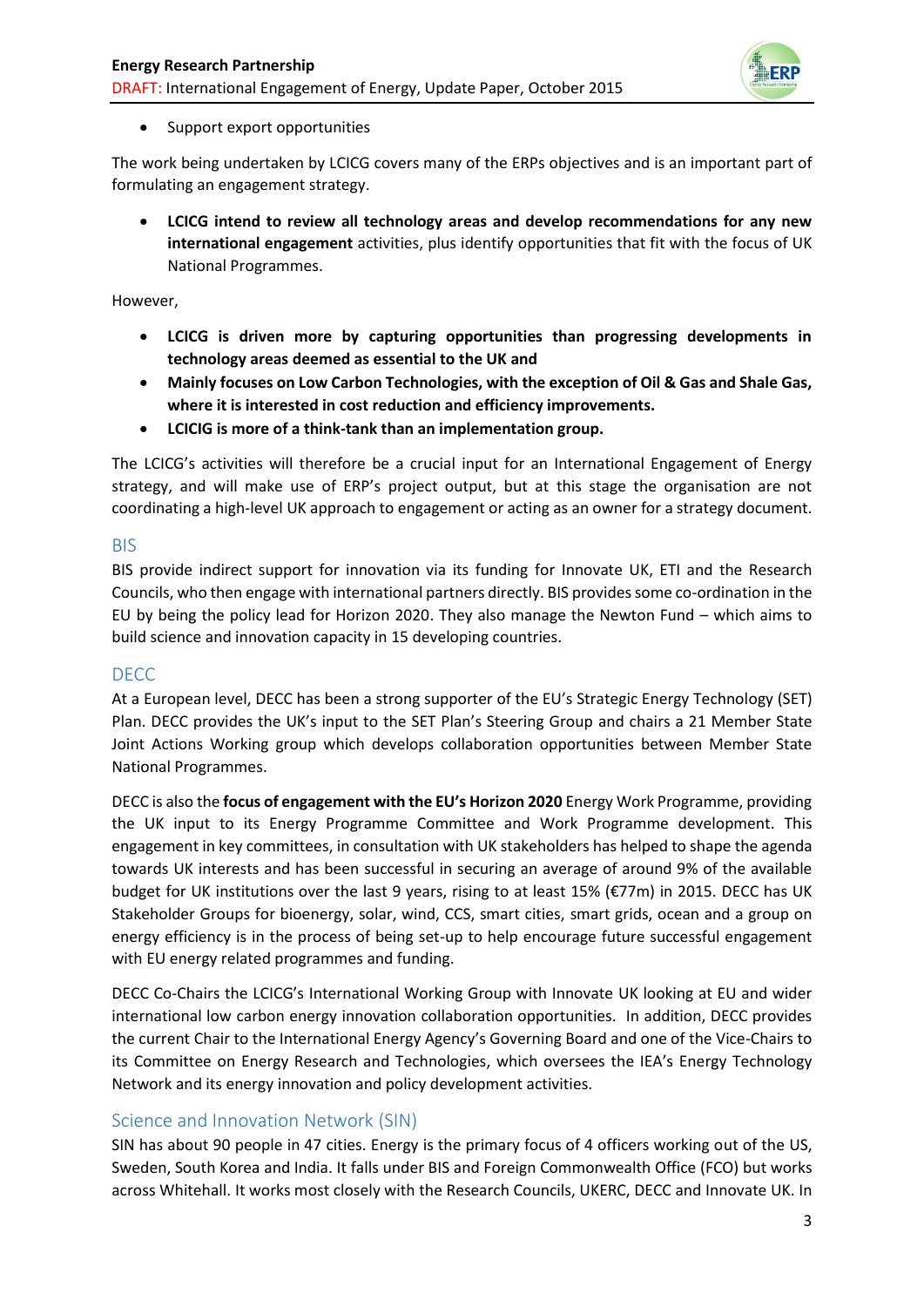

### • Support export opportunities

The work being undertaken by LCICG covers many of the ERPs objectives and is an important part of formulating an engagement strategy.

 **LCICG intend to review all technology areas and develop recommendations for any new international engagement** activities, plus identify opportunities that fit with the focus of UK National Programmes.

However,

- **LCICG is driven more by capturing opportunities than progressing developments in technology areas deemed as essential to the UK and**
- **Mainly focuses on Low Carbon Technologies, with the exception of Oil & Gas and Shale Gas, where it is interested in cost reduction and efficiency improvements.**
- **LCICIG is more of a think-tank than an implementation group.**

The LCICG's activities will therefore be a crucial input for an International Engagement of Energy strategy, and will make use of ERP's project output, but at this stage the organisation are not coordinating a high-level UK approach to engagement or acting as an owner for a strategy document.

### BIS

BIS provide indirect support for innovation via its funding for Innovate UK, ETI and the Research Councils, who then engage with international partners directly. BIS provides some co-ordination in the EU by being the policy lead for Horizon 2020. They also manage the Newton Fund – which aims to build science and innovation capacity in 15 developing countries.

### DECC

At a European level, DECC has been a strong supporter of the EU's Strategic Energy Technology (SET) Plan. DECC provides the UK's input to the SET Plan's Steering Group and chairs a 21 Member State Joint Actions Working group which develops collaboration opportunities between Member State National Programmes.

DECC is also the **focus of engagement with the EU's Horizon 2020** Energy Work Programme, providing the UK input to its Energy Programme Committee and Work Programme development. This engagement in key committees, in consultation with UK stakeholders has helped to shape the agenda towards UK interests and has been successful in securing an average of around 9% of the available budget for UK institutions over the last 9 years, rising to at least 15% (€77m) in 2015. DECC has UK Stakeholder Groups for bioenergy, solar, wind, CCS, smart cities, smart grids, ocean and a group on energy efficiency is in the process of being set-up to help encourage future successful engagement with EU energy related programmes and funding.

DECC Co-Chairs the LCICG's International Working Group with Innovate UK looking at EU and wider international low carbon energy innovation collaboration opportunities. In addition, DECC provides the current Chair to the International Energy Agency's Governing Board and one of the Vice-Chairs to its Committee on Energy Research and Technologies, which oversees the IEA's Energy Technology Network and its energy innovation and policy development activities.

### Science and Innovation Network (SIN)

SIN has about 90 people in 47 cities. Energy is the primary focus of 4 officers working out of the US, Sweden, South Korea and India. It falls under BIS and Foreign Commonwealth Office (FCO) but works across Whitehall. It works most closely with the Research Councils, UKERC, DECC and Innovate UK. In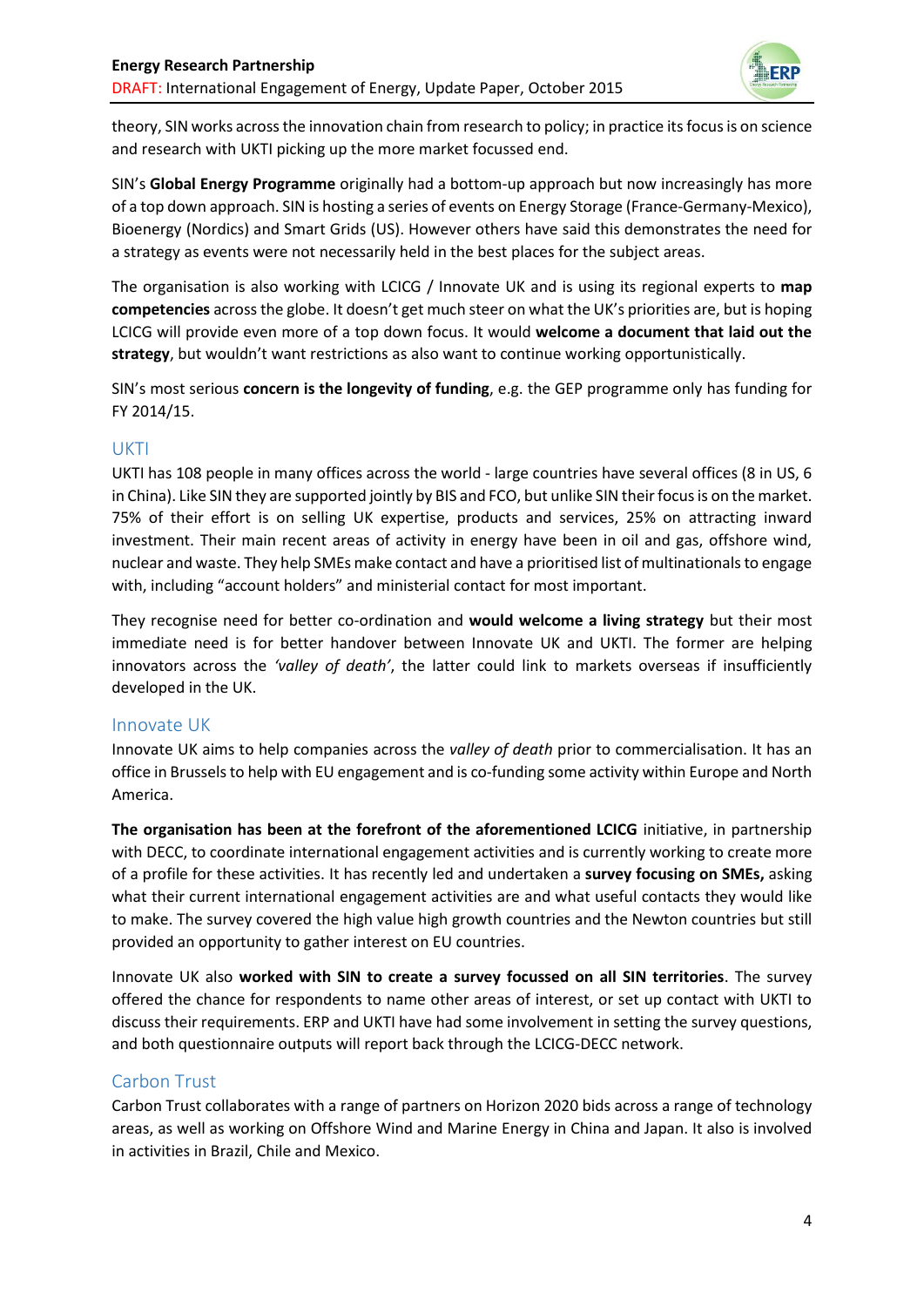

theory, SIN works across the innovation chain from research to policy; in practice its focus is on science and research with UKTI picking up the more market focussed end.

SIN's **Global Energy Programme** originally had a bottom-up approach but now increasingly has more of a top down approach. SIN is hosting a series of events on Energy Storage (France-Germany-Mexico), Bioenergy (Nordics) and Smart Grids (US). However others have said this demonstrates the need for a strategy as events were not necessarily held in the best places for the subject areas.

The organisation is also working with LCICG / Innovate UK and is using its regional experts to **map competencies** across the globe. It doesn't get much steer on what the UK's priorities are, but is hoping LCICG will provide even more of a top down focus. It would **welcome a document that laid out the strategy**, but wouldn't want restrictions as also want to continue working opportunistically.

SIN's most serious **concern is the longevity of funding**, e.g. the GEP programme only has funding for FY 2014/15.

### UKTI

UKTI has 108 people in many offices across the world - large countries have several offices (8 in US, 6 in China). Like SIN they are supported jointly by BIS and FCO, but unlike SIN their focus is on the market. 75% of their effort is on selling UK expertise, products and services, 25% on attracting inward investment. Their main recent areas of activity in energy have been in oil and gas, offshore wind, nuclear and waste. They help SMEs make contact and have a prioritised list of multinationals to engage with, including "account holders" and ministerial contact for most important.

They recognise need for better co-ordination and **would welcome a living strategy** but their most immediate need is for better handover between Innovate UK and UKTI. The former are helping innovators across the *'valley of death'*, the latter could link to markets overseas if insufficiently developed in the UK.

### Innovate UK

Innovate UK aims to help companies across the *valley of death* prior to commercialisation. It has an office in Brussels to help with EU engagement and is co-funding some activity within Europe and North America.

**The organisation has been at the forefront of the aforementioned LCICG** initiative, in partnership with DECC, to coordinate international engagement activities and is currently working to create more of a profile for these activities. It has recently led and undertaken a **survey focusing on SMEs,** asking what their current international engagement activities are and what useful contacts they would like to make. The survey covered the high value high growth countries and the Newton countries but still provided an opportunity to gather interest on EU countries.

Innovate UK also **worked with SIN to create a survey focussed on all SIN territories**. The survey offered the chance for respondents to name other areas of interest, or set up contact with UKTI to discuss their requirements. ERP and UKTI have had some involvement in setting the survey questions, and both questionnaire outputs will report back through the LCICG-DECC network.

### Carbon Trust

Carbon Trust collaborates with a range of partners on Horizon 2020 bids across a range of technology areas, as well as working on Offshore Wind and Marine Energy in China and Japan. It also is involved in activities in Brazil, Chile and Mexico.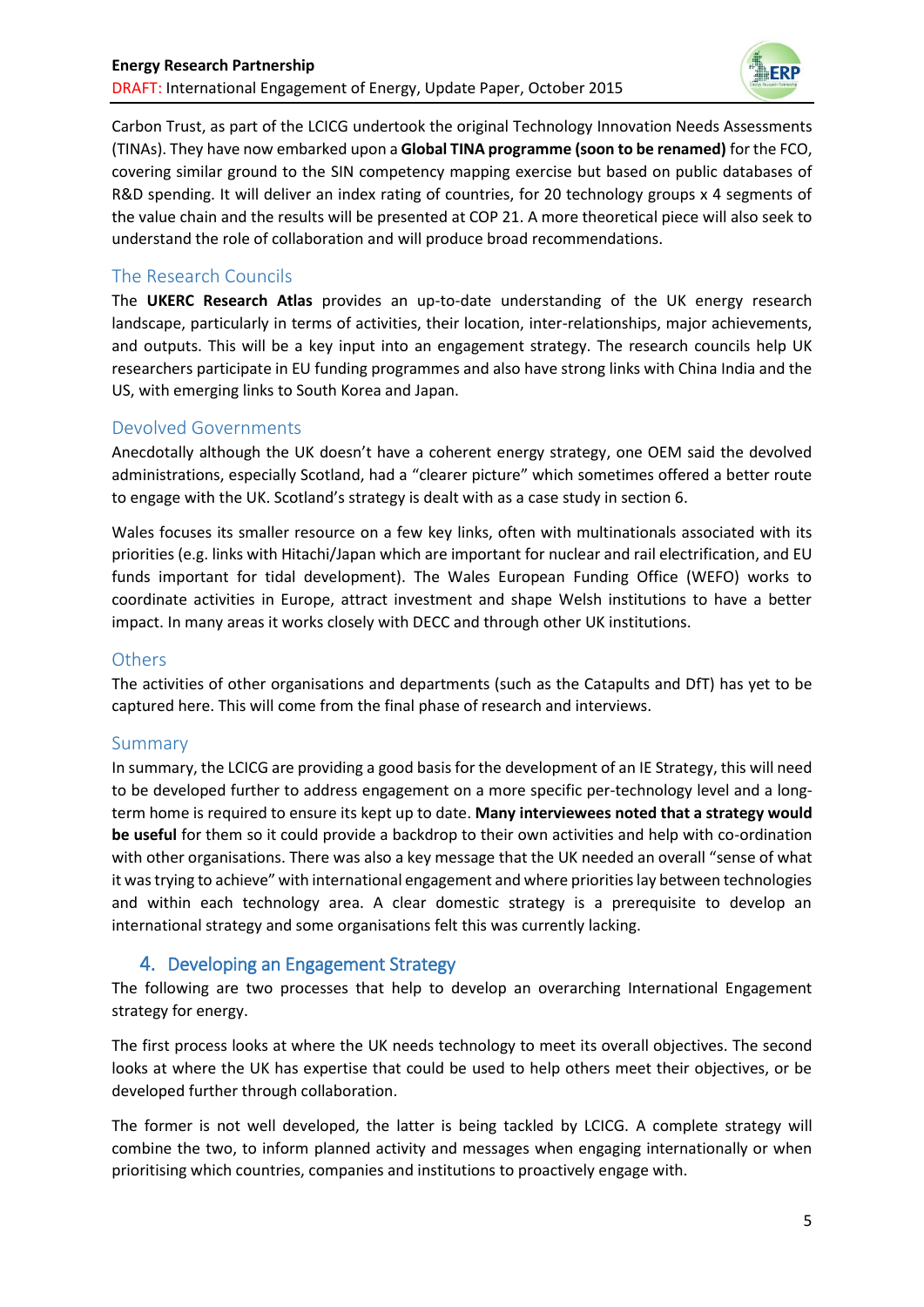

Carbon Trust, as part of the LCICG undertook the original Technology Innovation Needs Assessments (TINAs). They have now embarked upon a **Global TINA programme (soon to be renamed)** for the FCO, covering similar ground to the SIN competency mapping exercise but based on public databases of R&D spending. It will deliver an index rating of countries, for 20 technology groups x 4 segments of the value chain and the results will be presented at COP 21. A more theoretical piece will also seek to understand the role of collaboration and will produce broad recommendations.

### The Research Councils

The **UKERC Research Atlas** provides an up-to-date understanding of the UK energy research landscape, particularly in terms of activities, their location, inter-relationships, major achievements, and outputs. This will be a key input into an engagement strategy. The research councils help UK researchers participate in EU funding programmes and also have strong links with China India and the US, with emerging links to South Korea and Japan.

### Devolved Governments

Anecdotally although the UK doesn't have a coherent energy strategy, one OEM said the devolved administrations, especially Scotland, had a "clearer picture" which sometimes offered a better route to engage with the UK. Scotland's strategy is dealt with as a case study in section 6.

Wales focuses its smaller resource on a few key links, often with multinationals associated with its priorities (e.g. links with Hitachi/Japan which are important for nuclear and rail electrification, and EU funds important for tidal development). The Wales European Funding Office (WEFO) works to coordinate activities in Europe, attract investment and shape Welsh institutions to have a better impact. In many areas it works closely with DECC and through other UK institutions.

### **Others**

The activities of other organisations and departments (such as the Catapults and DfT) has yet to be captured here. This will come from the final phase of research and interviews.

### Summary

In summary, the LCICG are providing a good basis for the development of an IE Strategy, this will need to be developed further to address engagement on a more specific per-technology level and a longterm home is required to ensure its kept up to date. **Many interviewees noted that a strategy would be useful** for them so it could provide a backdrop to their own activities and help with co-ordination with other organisations. There was also a key message that the UK needed an overall "sense of what it was trying to achieve" with international engagement and where priorities lay between technologies and within each technology area. A clear domestic strategy is a prerequisite to develop an international strategy and some organisations felt this was currently lacking.

# 4. Developing an Engagement Strategy

The following are two processes that help to develop an overarching International Engagement strategy for energy.

The first process looks at where the UK needs technology to meet its overall objectives. The second looks at where the UK has expertise that could be used to help others meet their objectives, or be developed further through collaboration.

The former is not well developed, the latter is being tackled by LCICG. A complete strategy will combine the two, to inform planned activity and messages when engaging internationally or when prioritising which countries, companies and institutions to proactively engage with.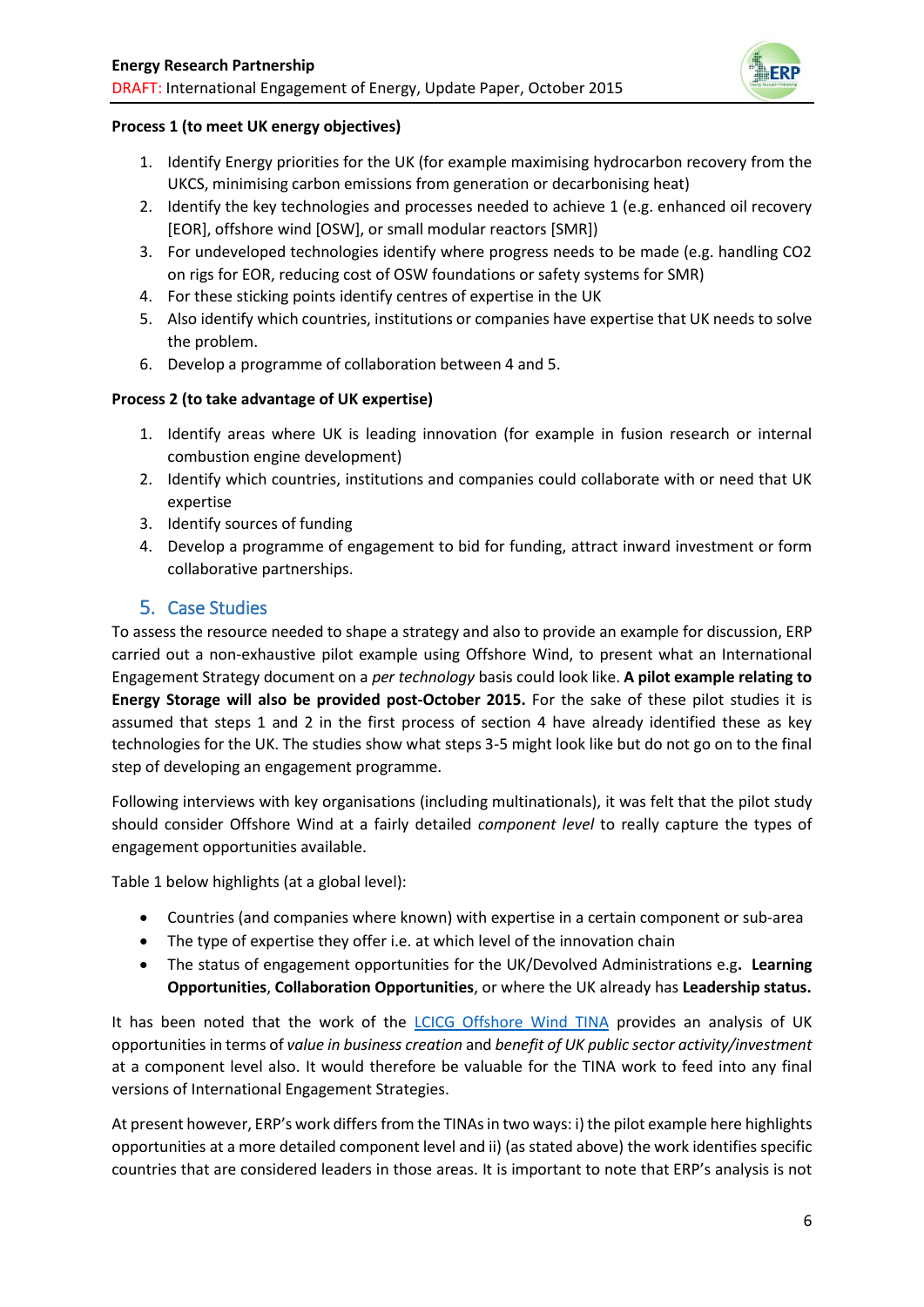

### **Process 1 (to meet UK energy objectives)**

- 1. Identify Energy priorities for the UK (for example maximising hydrocarbon recovery from the UKCS, minimising carbon emissions from generation or decarbonising heat)
- 2. Identify the key technologies and processes needed to achieve 1 (e.g. enhanced oil recovery [EOR], offshore wind [OSW], or small modular reactors [SMR])
- 3. For undeveloped technologies identify where progress needs to be made (e.g. handling CO2 on rigs for EOR, reducing cost of OSW foundations or safety systems for SMR)
- 4. For these sticking points identify centres of expertise in the UK
- 5. Also identify which countries, institutions or companies have expertise that UK needs to solve the problem.
- 6. Develop a programme of collaboration between 4 and 5.

### **Process 2 (to take advantage of UK expertise)**

- 1. Identify areas where UK is leading innovation (for example in fusion research or internal combustion engine development)
- 2. Identify which countries, institutions and companies could collaborate with or need that UK expertise
- 3. Identify sources of funding
- 4. Develop a programme of engagement to bid for funding, attract inward investment or form collaborative partnerships.

### 5. Case Studies

To assess the resource needed to shape a strategy and also to provide an example for discussion, ERP carried out a non-exhaustive pilot example using Offshore Wind, to present what an International Engagement Strategy document on a *per technology* basis could look like. **A pilot example relating to Energy Storage will also be provided post-October 2015.** For the sake of these pilot studies it is assumed that steps 1 and 2 in the first process of section 4 have already identified these as key technologies for the UK. The studies show what steps 3-5 might look like but do not go on to the final step of developing an engagement programme.

Following interviews with key organisations (including multinationals), it was felt that the pilot study should consider Offshore Wind at a fairly detailed *component level* to really capture the types of engagement opportunities available.

Table 1 below highlights (at a global level):

- Countries (and companies where known) with expertise in a certain component or sub-area
- The type of expertise they offer i.e. at which level of the innovation chain
- The status of engagement opportunities for the UK/Devolved Administrations e.g**. Learning Opportunities**, **Collaboration Opportunities**, or where the UK already has **Leadership status.**

It has been noted that the work of the [LCICG Offshore Wind TINA](http://www.carbontrust.com/media/168555/tina-offshore-wind-power-summary-report.pdf) provides an analysis of UK opportunities in terms of *value in business creation* and *benefit of UK public sector activity/investment*  at a component level also. It would therefore be valuable for the TINA work to feed into any final versions of International Engagement Strategies.

At present however, ERP's work differs from the TINAs in two ways: i) the pilot example here highlights opportunities at a more detailed component level and ii) (as stated above) the work identifies specific countries that are considered leaders in those areas. It is important to note that ERP's analysis is not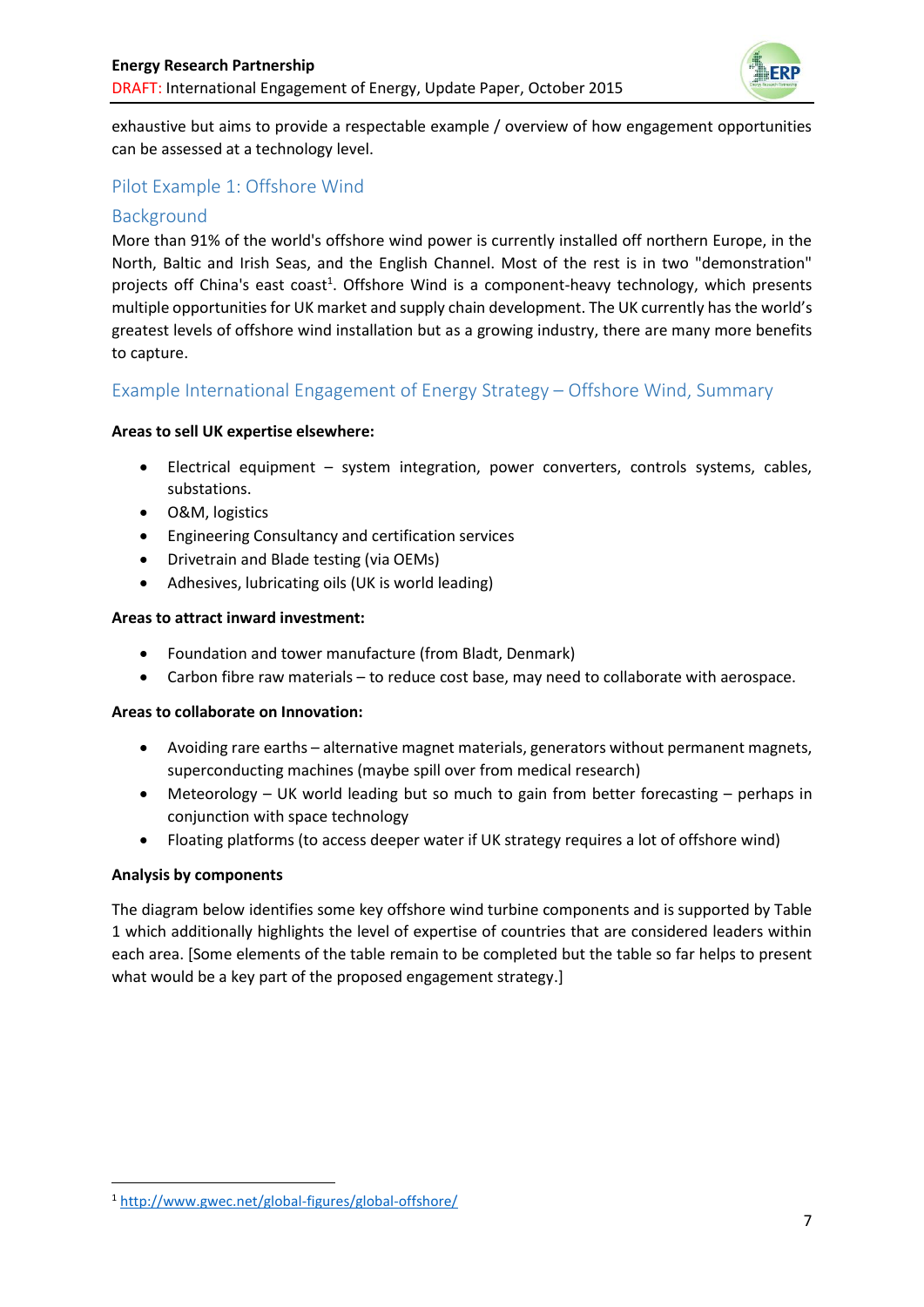

exhaustive but aims to provide a respectable example / overview of how engagement opportunities can be assessed at a technology level.

### Pilot Example 1: Offshore Wind

### Background

More than 91% of the world's offshore wind power is currently installed off northern Europe, in the North, Baltic and Irish Seas, and the English Channel. Most of the rest is in two "demonstration" projects off China's east coast<sup>1</sup>. Offshore Wind is a component-heavy technology, which presents multiple opportunities for UK market and supply chain development. The UK currently has the world's greatest levels of offshore wind installation but as a growing industry, there are many more benefits to capture.

### Example International Engagement of Energy Strategy – Offshore Wind, Summary

#### **Areas to sell UK expertise elsewhere:**

- Electrical equipment system integration, power converters, controls systems, cables, substations.
- O&M, logistics
- Engineering Consultancy and certification services
- Drivetrain and Blade testing (via OEMs)
- Adhesives, lubricating oils (UK is world leading)

#### **Areas to attract inward investment:**

- Foundation and tower manufacture (from Bladt, Denmark)
- Carbon fibre raw materials to reduce cost base, may need to collaborate with aerospace.

#### **Areas to collaborate on Innovation:**

- Avoiding rare earths alternative magnet materials, generators without permanent magnets, superconducting machines (maybe spill over from medical research)
- Meteorology UK world leading but so much to gain from better forecasting perhaps in conjunction with space technology
- Floating platforms (to access deeper water if UK strategy requires a lot of offshore wind)

#### **Analysis by components**

**.** 

The diagram below identifies some key offshore wind turbine components and is supported by Table 1 which additionally highlights the level of expertise of countries that are considered leaders within each area. [Some elements of the table remain to be completed but the table so far helps to present what would be a key part of the proposed engagement strategy.]

<sup>1</sup> <http://www.gwec.net/global-figures/global-offshore/>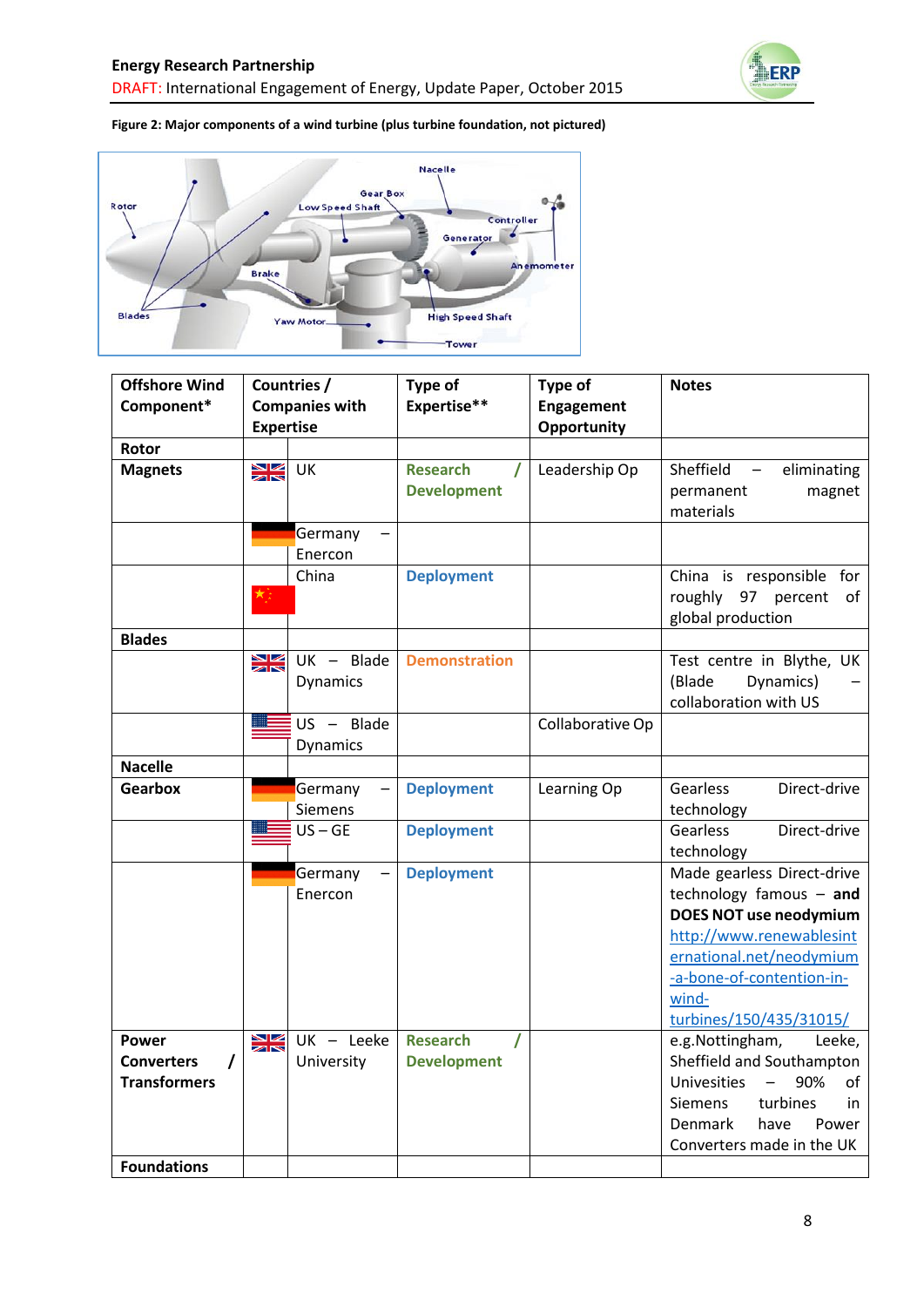

#### **Figure 2: Major components of a wind turbine (plus turbine foundation, not pictured)**



| <b>Offshore Wind</b> | Countries /           |                 | Type of                     | Type of          | <b>Notes</b>                     |
|----------------------|-----------------------|-----------------|-----------------------------|------------------|----------------------------------|
| Component*           | <b>Companies with</b> |                 | Expertise**                 | Engagement       |                                  |
|                      | <b>Expertise</b>      |                 |                             | Opportunity      |                                  |
| Rotor                |                       |                 |                             |                  |                                  |
| <b>Magnets</b>       | $\frac{N}{2}$         | UK              | <b>Research</b><br>$\prime$ | Leadership Op    | Sheffield<br>eliminating         |
|                      |                       |                 | <b>Development</b>          |                  | permanent<br>magnet              |
|                      |                       |                 |                             |                  | materials                        |
|                      |                       | Germany         |                             |                  |                                  |
|                      |                       | Enercon         |                             |                  |                                  |
|                      |                       | China           | <b>Deployment</b>           |                  | China is responsible for         |
|                      |                       |                 |                             |                  | roughly 97 percent<br>of         |
|                      |                       |                 |                             |                  | global production                |
| <b>Blades</b>        |                       |                 |                             |                  |                                  |
|                      | NZ<br>ZN              | $UK - Blade$    | <b>Demonstration</b>        |                  | Test centre in Blythe, UK        |
|                      |                       | <b>Dynamics</b> |                             |                  | (Blade<br>Dynamics)              |
|                      |                       |                 |                             |                  | collaboration with US            |
|                      |                       | $US - Blade$    |                             | Collaborative Op |                                  |
|                      |                       | Dynamics        |                             |                  |                                  |
| <b>Nacelle</b>       |                       |                 |                             |                  |                                  |
| <b>Gearbox</b>       |                       | Germany         | <b>Deployment</b>           | Learning Op      | Gearless<br>Direct-drive         |
|                      |                       | <b>Siemens</b>  |                             |                  | technology                       |
|                      |                       | $US - GE$       | <b>Deployment</b>           |                  | Gearless<br>Direct-drive         |
|                      |                       |                 |                             |                  | technology                       |
|                      |                       | Germany         | <b>Deployment</b>           |                  | Made gearless Direct-drive       |
|                      |                       | Enercon         |                             |                  | technology famous - and          |
|                      |                       |                 |                             |                  | <b>DOES NOT use neodymium</b>    |
|                      |                       |                 |                             |                  | http://www.renewablesint         |
|                      |                       |                 |                             |                  | ernational.net/neodymium         |
|                      |                       |                 |                             |                  | -a-bone-of-contention-in-        |
|                      |                       |                 |                             |                  | wind-                            |
|                      |                       |                 |                             |                  | turbines/150/435/31015/          |
| Power                | $rac{N}{2}$           | UK - Leeke      | <b>Research</b>             |                  | e.g.Nottingham,<br>Leeke,        |
| <b>Converters</b>    |                       | University      | <b>Development</b>          |                  | Sheffield and Southampton        |
| <b>Transformers</b>  |                       |                 |                             |                  | <b>Univesities</b><br>90%<br>οf  |
|                      |                       |                 |                             |                  | turbines<br><b>Siemens</b><br>in |
|                      |                       |                 |                             |                  | Denmark<br>have<br>Power         |
| <b>Foundations</b>   |                       |                 |                             |                  | Converters made in the UK        |
|                      |                       |                 |                             |                  |                                  |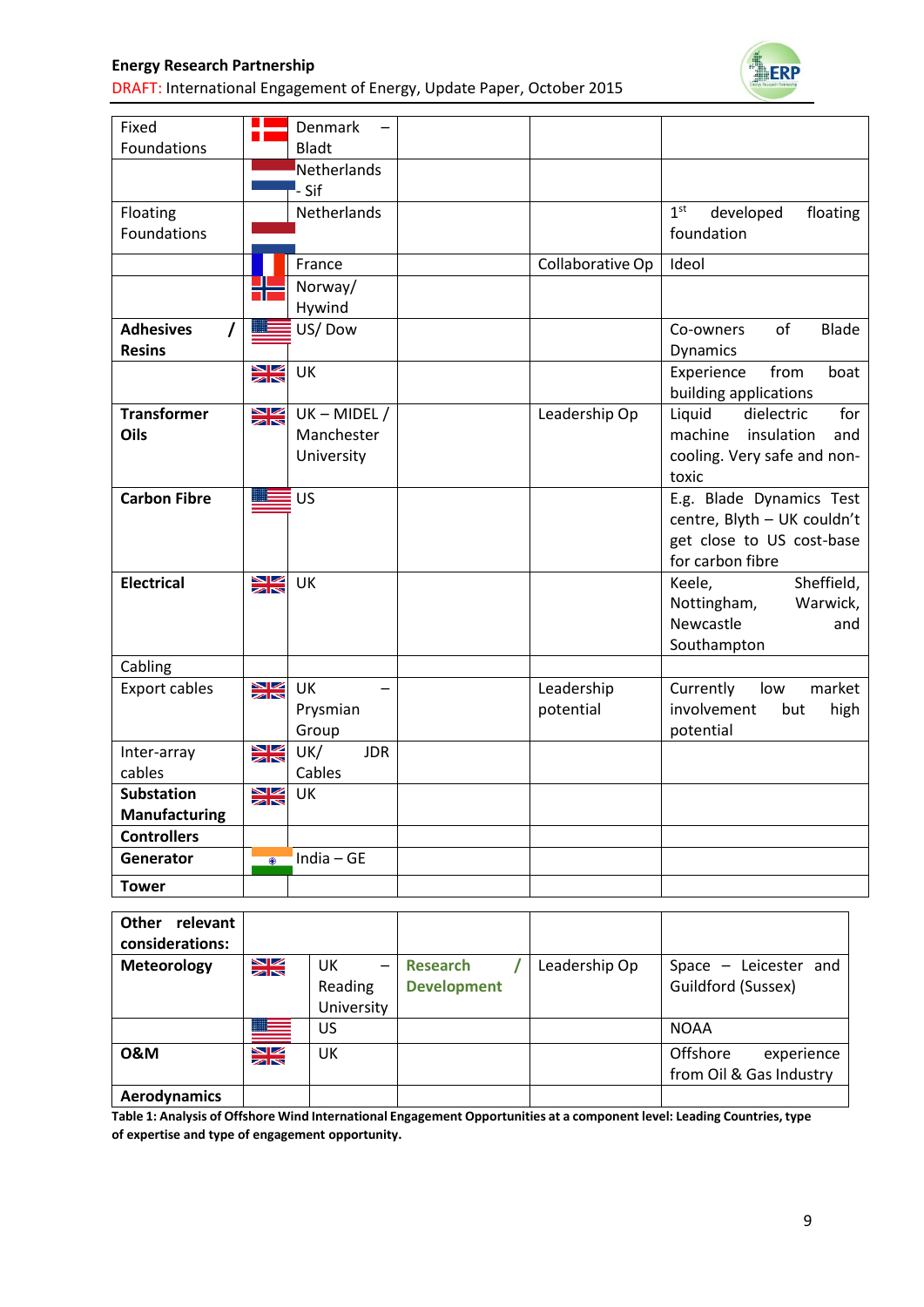DRAFT: International Engagement of Energy, Update Paper, October 2015



| Fixed<br>Foundations                          |                      | Denmark<br>Bladt                           |                         |                                                                                                          |
|-----------------------------------------------|----------------------|--------------------------------------------|-------------------------|----------------------------------------------------------------------------------------------------------|
|                                               |                      | Netherlands<br>- Sif                       |                         |                                                                                                          |
| Floating<br>Foundations                       |                      | Netherlands                                |                         | 1 <sup>st</sup><br>developed<br>floating<br>foundation                                                   |
|                                               |                      | France                                     | Collaborative Op        | Ideol                                                                                                    |
|                                               |                      | Norway/<br>Hywind                          |                         |                                                                                                          |
| <b>Adhesives</b><br>$\prime$<br><b>Resins</b> |                      | US/Dow                                     |                         | of<br><b>Blade</b><br>Co-owners<br><b>Dynamics</b>                                                       |
|                                               | $\frac{N}{N}$        | UK                                         |                         | Experience<br>from<br>boat<br>building applications                                                      |
| <b>Transformer</b><br>Oils                    | $\frac{N}{N}$        | $UK - MIDEL /$<br>Manchester<br>University | Leadership Op           | Liquid<br>for<br>dielectric<br>machine<br>insulation<br>and<br>cooling. Very safe and non-<br>toxic      |
| <b>Carbon Fibre</b>                           |                      | <b>US</b>                                  |                         | E.g. Blade Dynamics Test<br>centre, Blyth - UK couldn't<br>get close to US cost-base<br>for carbon fibre |
| <b>Electrical</b>                             | $\geq$               | UK                                         |                         | Sheffield,<br>Keele,<br>Nottingham,<br>Warwick,<br>Newcastle<br>and<br>Southampton                       |
| Cabling                                       |                      |                                            |                         |                                                                                                          |
| <b>Export cables</b>                          | $\frac{N}{N}$        | UK<br>Prysmian<br>Group                    | Leadership<br>potential | Currently<br>market<br>low<br>involvement<br>but<br>high<br>potential                                    |
| Inter-array                                   | $rac{N}{2}$          | UK/<br><b>JDR</b>                          |                         |                                                                                                          |
| cables                                        |                      | Cables                                     |                         |                                                                                                          |
| <b>Substation</b>                             | $\frac{N}{N}$        | UK                                         |                         |                                                                                                          |
| <b>Manufacturing</b><br><b>Controllers</b>    |                      |                                            |                         |                                                                                                          |
| Generator                                     | $\overline{\bullet}$ | India $-$ GE                               |                         |                                                                                                          |
| <b>Tower</b>                                  |                      |                                            |                         |                                                                                                          |

| <b>Other</b><br>relevant<br>considerations: |               |                                                         |                                       |               |                                                   |
|---------------------------------------------|---------------|---------------------------------------------------------|---------------------------------------|---------------|---------------------------------------------------|
| <b>Meteorology</b>                          | $\frac{N}{2}$ | UK<br>$\overline{\phantom{0}}$<br>Reading<br>University | <b>Research</b><br><b>Development</b> | Leadership Op | Space $-$ Leicester and<br>Guildford (Sussex)     |
|                                             | <u> III –</u> | <b>US</b>                                               |                                       |               | <b>NOAA</b>                                       |
| <b>0&amp;M</b>                              | $\frac{N}{N}$ | UK                                                      |                                       |               | Offshore<br>experience<br>from Oil & Gas Industry |
| <b>Aerodynamics</b>                         |               |                                                         |                                       |               |                                                   |

**Table 1: Analysis of Offshore Wind International Engagement Opportunities at a component level: Leading Countries, type of expertise and type of engagement opportunity.**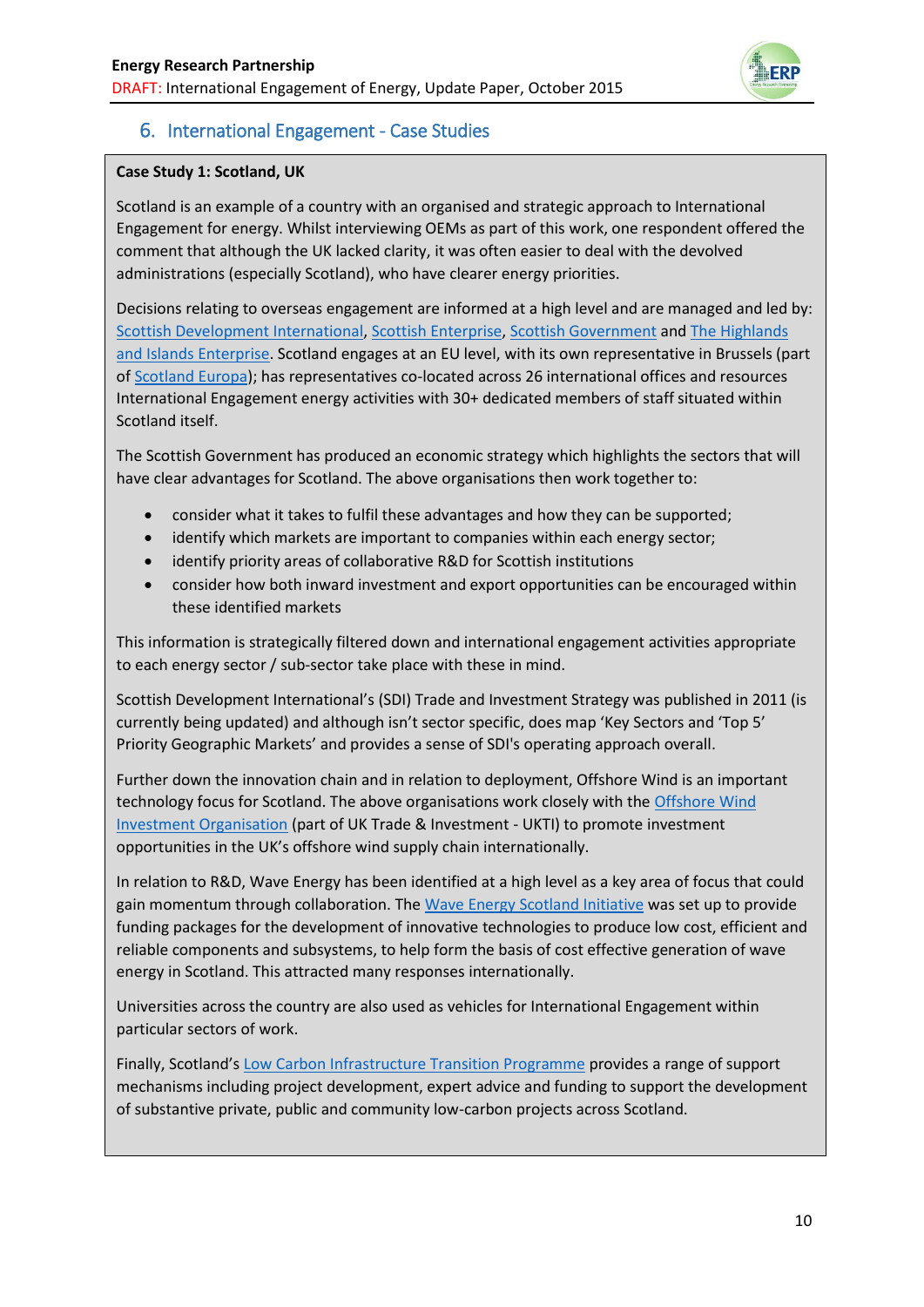

# 6. International Engagement - Case Studies

### **Case Study 1: Scotland, UK**

Scotland is an example of a country with an organised and strategic approach to International Engagement for energy. Whilst interviewing OEMs as part of this work, one respondent offered the comment that although the UK lacked clarity, it was often easier to deal with the devolved administrations (especially Scotland), who have clearer energy priorities.

Decisions relating to overseas engagement are informed at a high level and are managed and led by: [Scottish Development International,](http://www.sdi.co.uk/) [Scottish Enterprise,](http://www.scottish-enterprise.com/) [Scottish Government](http://www.gov.scot/) and [The Highlands](http://www.hie.co.uk/)  [and Islands Enterprise.](http://www.hie.co.uk/) Scotland engages at an EU level, with its own representative in Brussels (part o[f Scotland Europa\)](https://www.scotlandeuropa.com/); has representatives co-located across 26 international offices and resources International Engagement energy activities with 30+ dedicated members of staff situated within Scotland itself.

The Scottish Government has produced an economic strategy which highlights the sectors that will have clear advantages for Scotland. The above organisations then work together to:

- consider what it takes to fulfil these advantages and how they can be supported;
- identify which markets are important to companies within each energy sector;
- identify priority areas of collaborative R&D for Scottish institutions
- consider how both inward investment and export opportunities can be encouraged within these identified markets

This information is strategically filtered down and international engagement activities appropriate to each energy sector / sub-sector take place with these in mind.

Scottish Development International's (SDI) Trade and Investment Strategy was published in 2011 (is currently being updated) and although isn't sector specific, does map 'Key Sectors and 'Top 5' Priority Geographic Markets' and provides a sense of SDI's operating approach overall.

Further down the innovation chain and in relation to deployment, Offshore Wind is an important technology focus for Scotland. The above organisations work closely with the Offshore Wind [Investment Organisation](https://www.gov.uk/government/groups/offshore-wind-investment-organisation) (part of UK Trade & Investment - UKTI) to promote investment opportunities in the UK's offshore wind supply chain internationally.

In relation to R&D, Wave Energy has been identified at a high level as a key area of focus that could gain momentum through collaboration. Th[e Wave Energy Scotland Initiative](http://www.hie.co.uk/growth-sectors/energy/wave-energy-scotland/) was set up to provide funding packages for the development of innovative technologies to produce low cost, efficient and reliable components and subsystems, to help form the basis of cost effective generation of wave energy in Scotland. This attracted many responses internationally.

Universities across the country are also used as vehicles for International Engagement within particular sectors of work.

Finally, Scotland's [Low Carbon Infrastructure Transition Programme](http://www.gov.scot/Topics/Business-Industry/Energy/Action/lowcarbon/LCITP) provides a range of support mechanisms including project development, expert advice and funding to support the development of substantive private, public and community low-carbon projects across Scotland.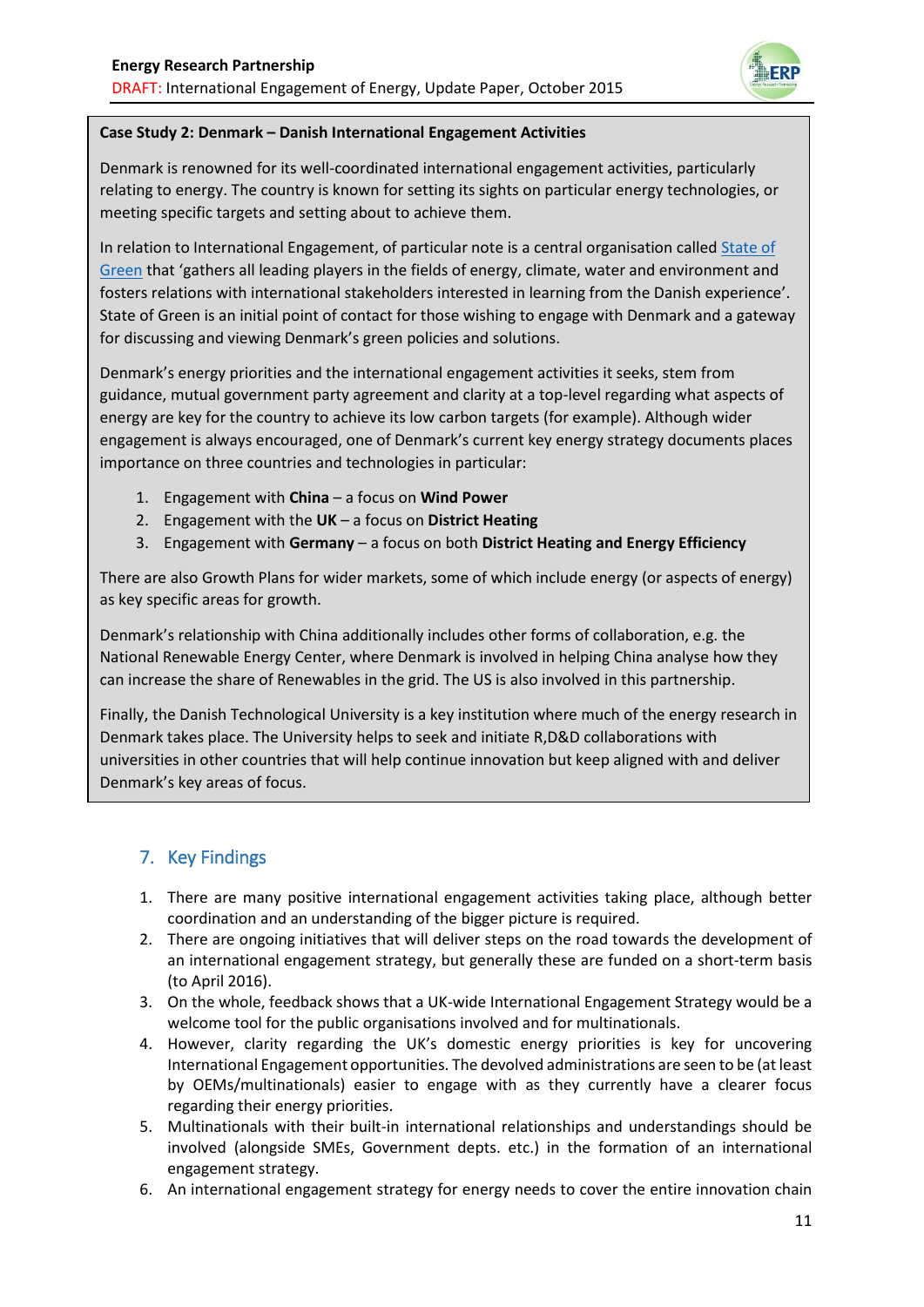

#### **Case Study 2: Denmark – Danish International Engagement Activities**

Denmark is renowned for its well-coordinated international engagement activities, particularly relating to energy. The country is known for setting its sights on particular energy technologies, or meeting specific targets and setting about to achieve them.

In relation to International Engagement, of particular note is a central organisation called [State of](https://stateofgreen.com/en)  [Green](https://stateofgreen.com/en) that 'gathers all leading players in the fields of energy, climate, water and environment and fosters relations with international stakeholders interested in learning from the Danish experience'. State of Green is an initial point of contact for those wishing to engage with Denmark and a gateway for discussing and viewing Denmark's green policies and solutions.

Denmark's energy priorities and the international engagement activities it seeks, stem from guidance, mutual government party agreement and clarity at a top-level regarding what aspects of energy are key for the country to achieve its low carbon targets (for example). Although wider engagement is always encouraged, one of Denmark's current key energy strategy documents places importance on three countries and technologies in particular:

- 1. Engagement with **China** a focus on **Wind Power**
- 2. Engagement with the **UK** a focus on **District Heating**
- 3. Engagement with **Germany** a focus on both **District Heating and Energy Efficiency**

There are also Growth Plans for wider markets, some of which include energy (or aspects of energy) as key specific areas for growth.

Denmark's relationship with China additionally includes other forms of collaboration, e.g. the National Renewable Energy Center, where Denmark is involved in helping China analyse how they can increase the share of Renewables in the grid. The US is also involved in this partnership.

Finally, the Danish Technological University is a key institution where much of the energy research in Denmark takes place. The University helps to seek and initiate R,D&D collaborations with universities in other countries that will help continue innovation but keep aligned with and deliver Denmark's key areas of focus.

# 7. Key Findings

- 1. There are many positive international engagement activities taking place, although better coordination and an understanding of the bigger picture is required.
- 2. There are ongoing initiatives that will deliver steps on the road towards the development of an international engagement strategy, but generally these are funded on a short-term basis (to April 2016).
- 3. On the whole, feedback shows that a UK-wide International Engagement Strategy would be a welcome tool for the public organisations involved and for multinationals.
- 4. However, clarity regarding the UK's domestic energy priorities is key for uncovering International Engagement opportunities. The devolved administrations are seen to be (at least by OEMs/multinationals) easier to engage with as they currently have a clearer focus regarding their energy priorities.
- 5. Multinationals with their built-in international relationships and understandings should be involved (alongside SMEs, Government depts. etc.) in the formation of an international engagement strategy.
- 6. An international engagement strategy for energy needs to cover the entire innovation chain